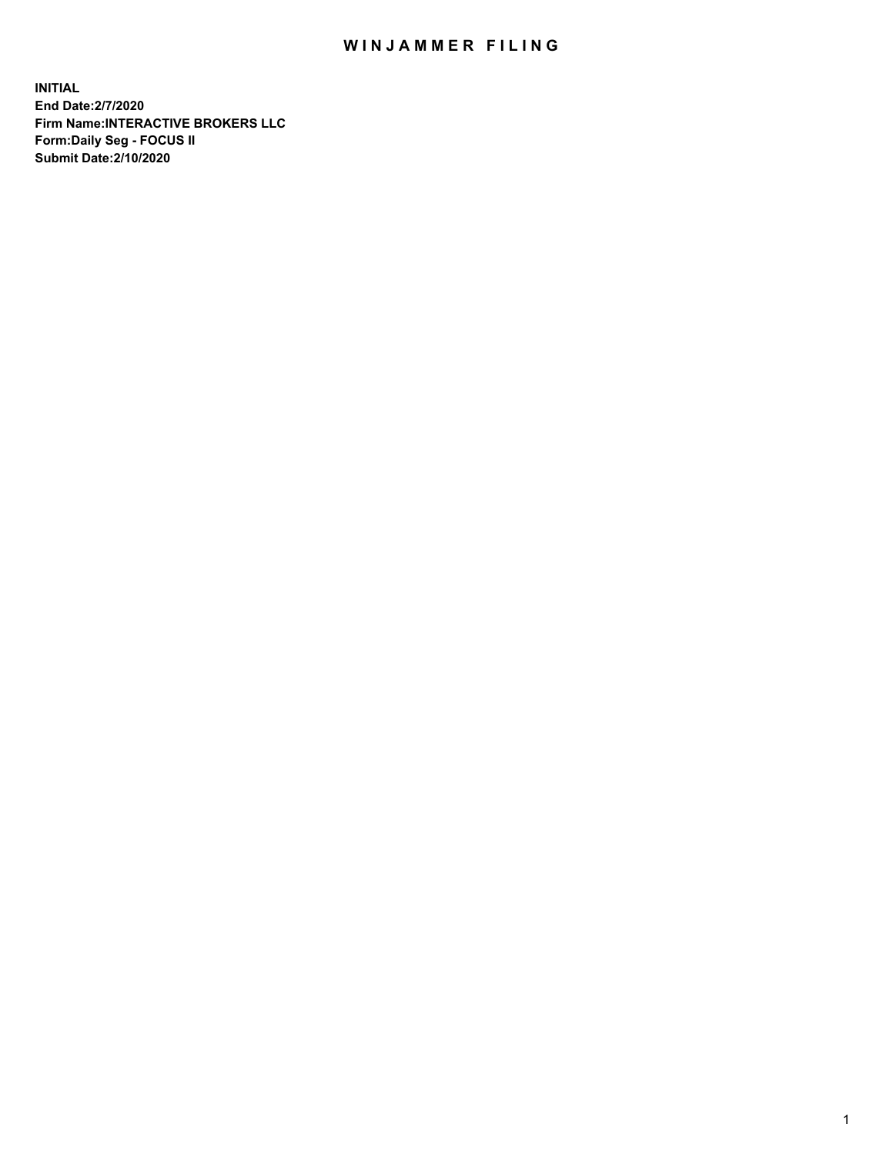## WIN JAMMER FILING

**INITIAL End Date:2/7/2020 Firm Name:INTERACTIVE BROKERS LLC Form:Daily Seg - FOCUS II Submit Date:2/10/2020**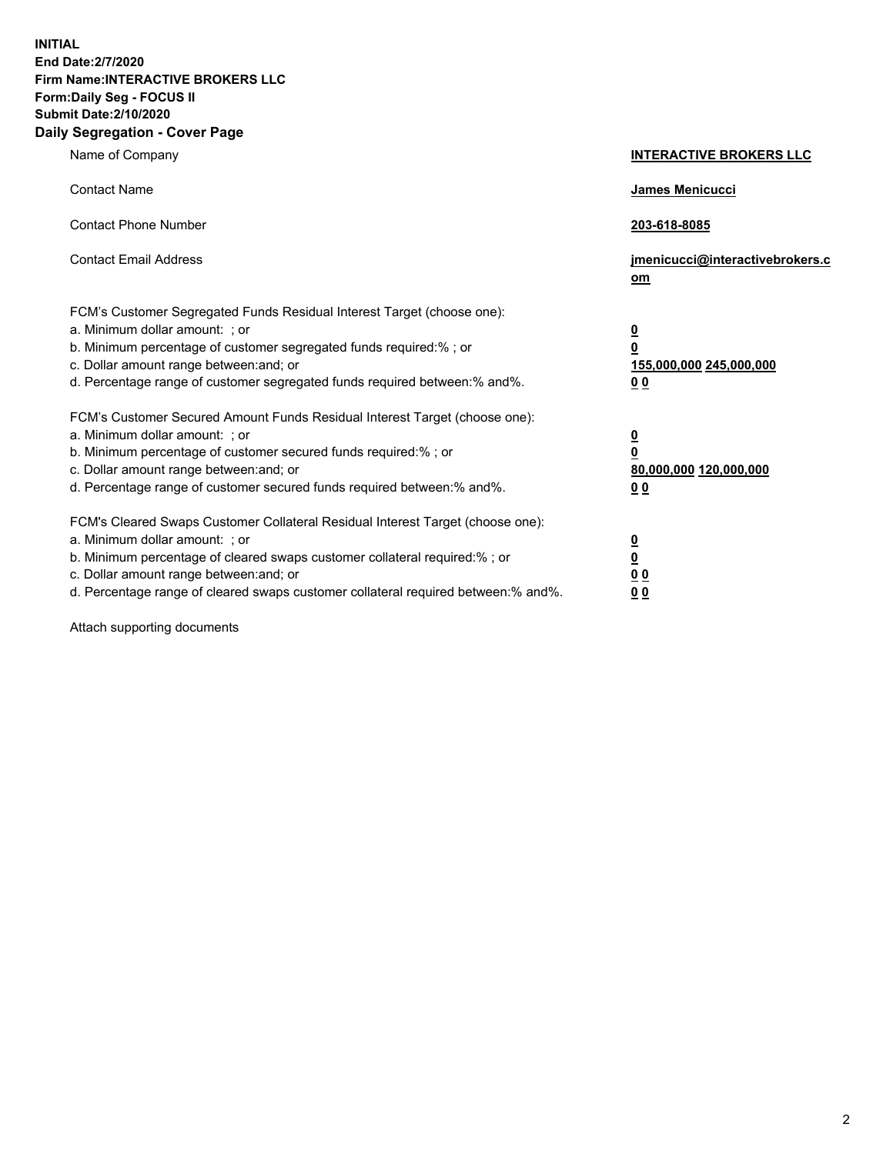**INITIAL End Date:2/7/2020 Firm Name:INTERACTIVE BROKERS LLC Form:Daily Seg - FOCUS II Submit Date:2/10/2020 Daily Segregation - Cover Page**

| Name of Company                                                                                                                                                                                                                                                                                                                  | <b>INTERACTIVE BROKERS LLC</b>                                                                  |
|----------------------------------------------------------------------------------------------------------------------------------------------------------------------------------------------------------------------------------------------------------------------------------------------------------------------------------|-------------------------------------------------------------------------------------------------|
| <b>Contact Name</b>                                                                                                                                                                                                                                                                                                              | <b>James Menicucci</b>                                                                          |
| <b>Contact Phone Number</b>                                                                                                                                                                                                                                                                                                      | 203-618-8085                                                                                    |
| <b>Contact Email Address</b>                                                                                                                                                                                                                                                                                                     | jmenicucci@interactivebrokers.c<br>om                                                           |
| FCM's Customer Segregated Funds Residual Interest Target (choose one):<br>a. Minimum dollar amount: ; or<br>b. Minimum percentage of customer segregated funds required:% ; or<br>c. Dollar amount range between: and; or<br>d. Percentage range of customer segregated funds required between:% and%.                           | $\overline{\mathbf{0}}$<br>$\overline{\mathbf{0}}$<br>155,000,000 245,000,000<br>0 <sub>0</sub> |
| FCM's Customer Secured Amount Funds Residual Interest Target (choose one):<br>a. Minimum dollar amount: ; or<br>b. Minimum percentage of customer secured funds required:% ; or<br>c. Dollar amount range between: and; or<br>d. Percentage range of customer secured funds required between:% and%.                             | <u>0</u><br>$\overline{\mathbf{0}}$<br>80,000,000 120,000,000<br><u>00</u>                      |
| FCM's Cleared Swaps Customer Collateral Residual Interest Target (choose one):<br>a. Minimum dollar amount: ; or<br>b. Minimum percentage of cleared swaps customer collateral required:% ; or<br>c. Dollar amount range between: and; or<br>d. Percentage range of cleared swaps customer collateral required between: % and %. | <u>0</u><br>$\underline{\mathbf{0}}$<br>0 <sub>0</sub><br>0 <sub>0</sub>                        |

Attach supporting documents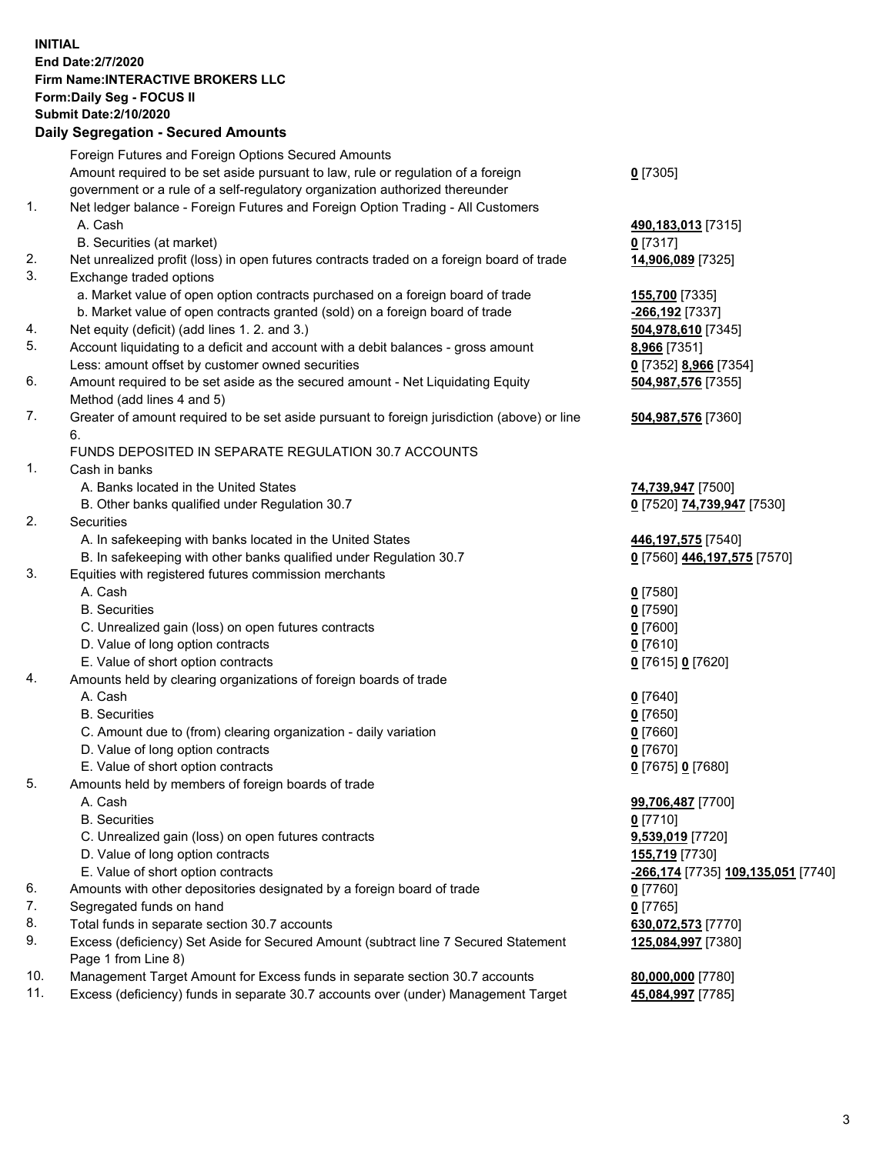## **INITIAL End Date:2/7/2020 Firm Name:INTERACTIVE BROKERS LLC Form:Daily Seg - FOCUS II Submit Date:2/10/2020 Daily Segregation - Secured Amounts**

|                | 2011, Ocglegation - Oceaned Anioanto                                                                       |                                                  |
|----------------|------------------------------------------------------------------------------------------------------------|--------------------------------------------------|
|                | Foreign Futures and Foreign Options Secured Amounts                                                        |                                                  |
|                | Amount required to be set aside pursuant to law, rule or regulation of a foreign                           | $0$ [7305]                                       |
|                | government or a rule of a self-regulatory organization authorized thereunder                               |                                                  |
| $\mathbf{1}$ . | Net ledger balance - Foreign Futures and Foreign Option Trading - All Customers                            |                                                  |
|                | A. Cash                                                                                                    | 490,183,013 [7315]                               |
|                | B. Securities (at market)                                                                                  | $0$ [7317]                                       |
| 2.             | Net unrealized profit (loss) in open futures contracts traded on a foreign board of trade                  | 14,906,089 [7325]                                |
| 3.             | Exchange traded options                                                                                    |                                                  |
|                | a. Market value of open option contracts purchased on a foreign board of trade                             | <b>155,700</b> [7335]                            |
|                | b. Market value of open contracts granted (sold) on a foreign board of trade                               | -266,192 [7337]                                  |
| 4.             | Net equity (deficit) (add lines 1. 2. and 3.)                                                              | 504,978,610 [7345]                               |
| 5.             | Account liquidating to a deficit and account with a debit balances - gross amount                          | 8,966 [7351]                                     |
|                | Less: amount offset by customer owned securities                                                           | 0 [7352] 8,966 [7354]                            |
| 6.             | Amount required to be set aside as the secured amount - Net Liquidating Equity                             | 504,987,576 [7355]                               |
|                | Method (add lines 4 and 5)                                                                                 |                                                  |
| 7.             | Greater of amount required to be set aside pursuant to foreign jurisdiction (above) or line<br>6.          | 504,987,576 [7360]                               |
|                | FUNDS DEPOSITED IN SEPARATE REGULATION 30.7 ACCOUNTS                                                       |                                                  |
| 1.             | Cash in banks                                                                                              |                                                  |
|                | A. Banks located in the United States                                                                      | 74,739,947 [7500]                                |
|                | B. Other banks qualified under Regulation 30.7                                                             | 0 [7520] 74,739,947 [7530]                       |
| 2.             | <b>Securities</b>                                                                                          |                                                  |
|                | A. In safekeeping with banks located in the United States                                                  | 446, 197, 575 [7540]                             |
|                | B. In safekeeping with other banks qualified under Regulation 30.7                                         | 0 [7560] 446,197,575 [7570]                      |
| 3.             | Equities with registered futures commission merchants                                                      |                                                  |
|                | A. Cash                                                                                                    | $0$ [7580]                                       |
|                | <b>B.</b> Securities                                                                                       | $0$ [7590]                                       |
|                | C. Unrealized gain (loss) on open futures contracts                                                        | $0$ [7600]                                       |
|                | D. Value of long option contracts                                                                          | $0$ [7610]                                       |
|                | E. Value of short option contracts                                                                         | 0 [7615] 0 [7620]                                |
| 4.             | Amounts held by clearing organizations of foreign boards of trade                                          |                                                  |
|                | A. Cash                                                                                                    | $0$ [7640]                                       |
|                | <b>B.</b> Securities                                                                                       | $0$ [7650]                                       |
|                | C. Amount due to (from) clearing organization - daily variation                                            | $0$ [7660]                                       |
|                | D. Value of long option contracts                                                                          | $0$ [7670]                                       |
|                | E. Value of short option contracts                                                                         | 0 [7675] 0 [7680]                                |
| 5.             | Amounts held by members of foreign boards of trade                                                         |                                                  |
|                | A. Cash                                                                                                    | 99,706,487 [7700]                                |
|                | <b>B.</b> Securities                                                                                       | $0$ [7710]                                       |
|                | C. Unrealized gain (loss) on open futures contracts                                                        | 9,539,019 [7720]                                 |
|                | D. Value of long option contracts                                                                          | 155,719 [7730]                                   |
|                | E. Value of short option contracts                                                                         | <u>-266,174</u> [7735] <u>109,135,051</u> [7740] |
| 6.             | Amounts with other depositories designated by a foreign board of trade                                     | 0 [7760]                                         |
| 7.             | Segregated funds on hand                                                                                   | $0$ [7765]                                       |
| 8.             | Total funds in separate section 30.7 accounts                                                              | 630,072,573 [7770]                               |
| 9.             | Excess (deficiency) Set Aside for Secured Amount (subtract line 7 Secured Statement<br>Page 1 from Line 8) | 125,084,997 [7380]                               |
| 10.            | Management Target Amount for Excess funds in separate section 30.7 accounts                                | 80,000,000 [7780]                                |
| 11.            | Excess (deficiency) funds in separate 30.7 accounts over (under) Management Target                         | 45,084,997 [7785]                                |
|                |                                                                                                            |                                                  |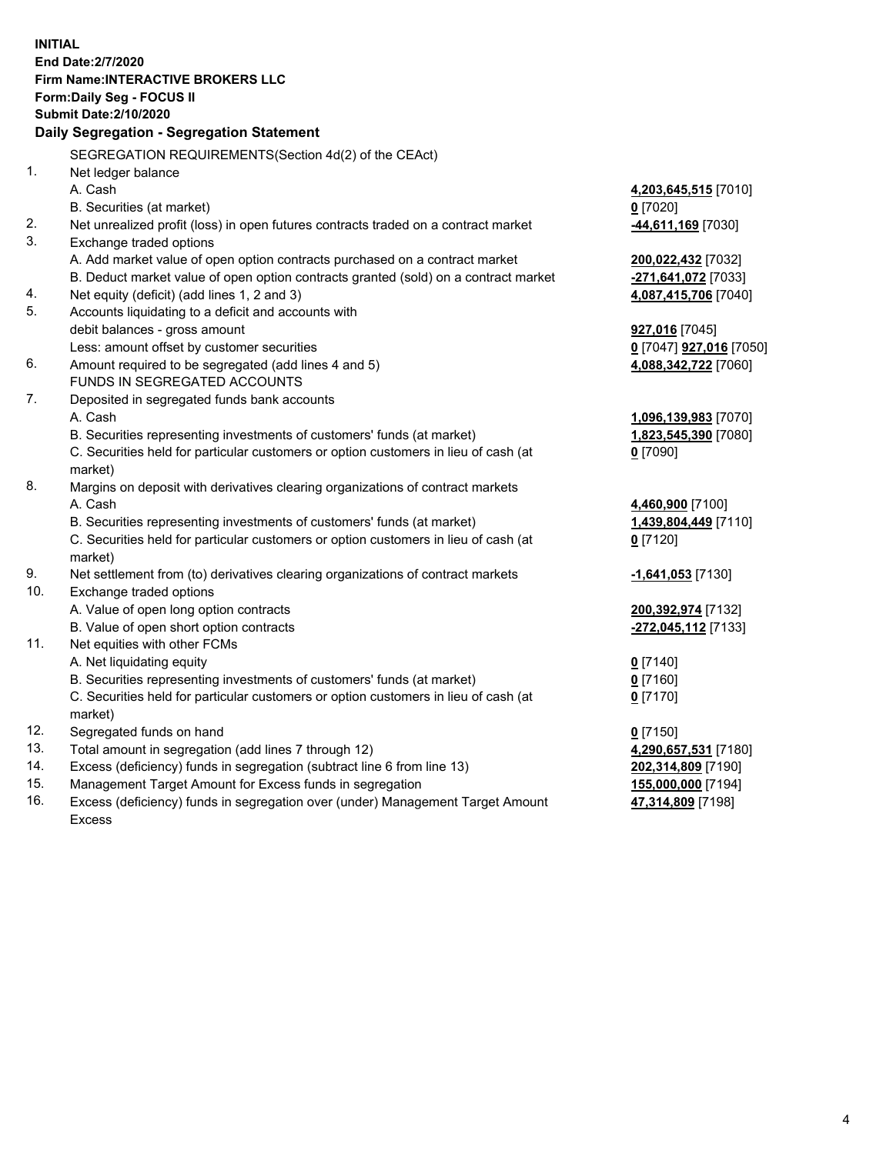**INITIAL End Date:2/7/2020 Firm Name:INTERACTIVE BROKERS LLC Form:Daily Seg - FOCUS II Submit Date:2/10/2020 Daily Segregation - Segregation Statement** SEGREGATION REQUIREMENTS(Section 4d(2) of the CEAct) 1. Net ledger balance A. Cash **4,203,645,515** [7010] B. Securities (at market) **0** [7020] 2. Net unrealized profit (loss) in open futures contracts traded on a contract market **-44,611,169** [7030] 3. Exchange traded options A. Add market value of open option contracts purchased on a contract market **200,022,432** [7032] B. Deduct market value of open option contracts granted (sold) on a contract market **-271,641,072** [7033] 4. Net equity (deficit) (add lines 1, 2 and 3) **4,087,415,706** [7040] 5. Accounts liquidating to a deficit and accounts with debit balances - gross amount **927,016** [7045] Less: amount offset by customer securities **0** [7047] **927,016** [7050] 6. Amount required to be segregated (add lines 4 and 5) **4,088,342,722** [7060] FUNDS IN SEGREGATED ACCOUNTS 7. Deposited in segregated funds bank accounts A. Cash **1,096,139,983** [7070] B. Securities representing investments of customers' funds (at market) **1,823,545,390** [7080] C. Securities held for particular customers or option customers in lieu of cash (at market) **0** [7090] 8. Margins on deposit with derivatives clearing organizations of contract markets A. Cash **4,460,900** [7100] B. Securities representing investments of customers' funds (at market) **1,439,804,449** [7110] C. Securities held for particular customers or option customers in lieu of cash (at market) **0** [7120] 9. Net settlement from (to) derivatives clearing organizations of contract markets **-1,641,053** [7130] 10. Exchange traded options A. Value of open long option contracts **200,392,974** [7132] B. Value of open short option contracts **-272,045,112** [7133] 11. Net equities with other FCMs A. Net liquidating equity **0** [7140] B. Securities representing investments of customers' funds (at market) **0** [7160] C. Securities held for particular customers or option customers in lieu of cash (at market) **0** [7170] 12. Segregated funds on hand **0** [7150] 13. Total amount in segregation (add lines 7 through 12) **4,290,657,531** [7180] 14. Excess (deficiency) funds in segregation (subtract line 6 from line 13) **202,314,809** [7190] 15. Management Target Amount for Excess funds in segregation **155,000,000** [7194] **47,314,809** [7198]

16. Excess (deficiency) funds in segregation over (under) Management Target Amount Excess